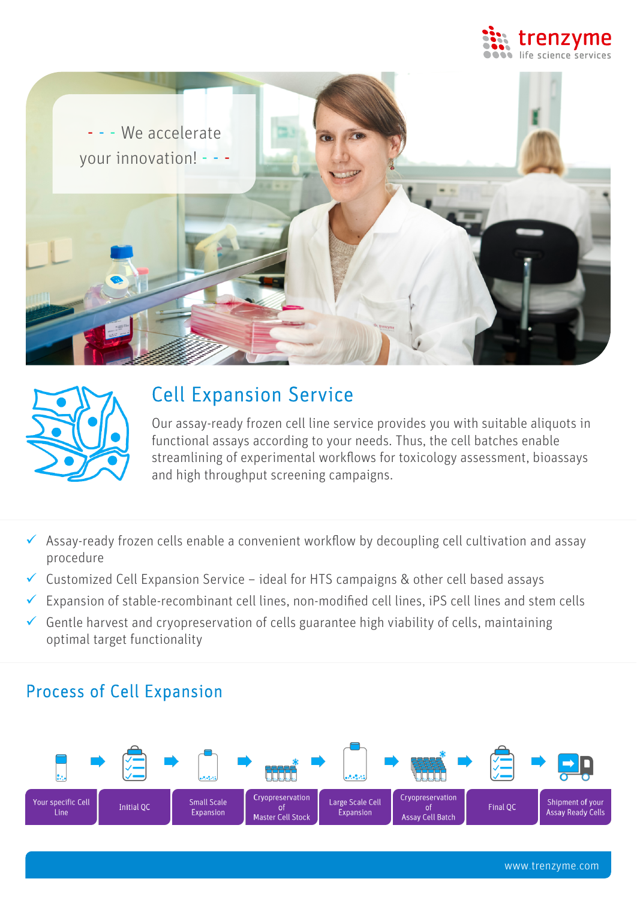





# Cell Expansion Service

Our assay-ready frozen cell line service provides you with suitable aliquots in functional assays according to your needs. Thus, the cell batches enable streamlining of experimental workflows for toxicology assessment, bioassays and high throughput screening campaigns.

- $\checkmark$  Assay-ready frozen cells enable a convenient workflow by decoupling cell cultivation and assay procedure
- $\checkmark$  Customized Cell Expansion Service ideal for HTS campaigns & other cell based assays
- $\checkmark$  Expansion of stable-recombinant cell lines, non-modified cell lines, iPS cell lines and stem cells
- $\checkmark$  Gentle harvest and cryopreservation of cells guarantee high viability of cells, maintaining optimal target functionality

## Process of Cell Expansion